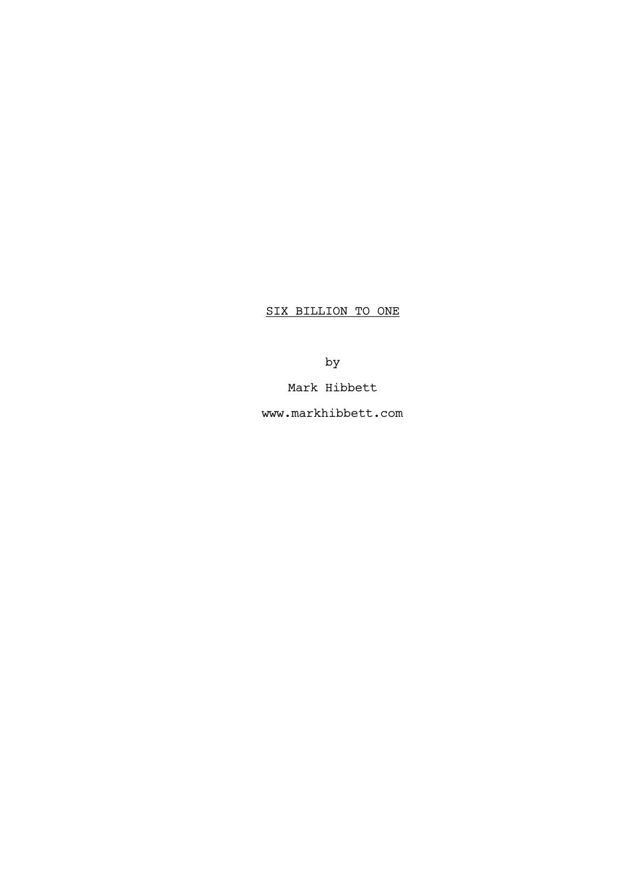SIX BILLION TO ONE

by

Mark Hibbett

www.markhibbett.com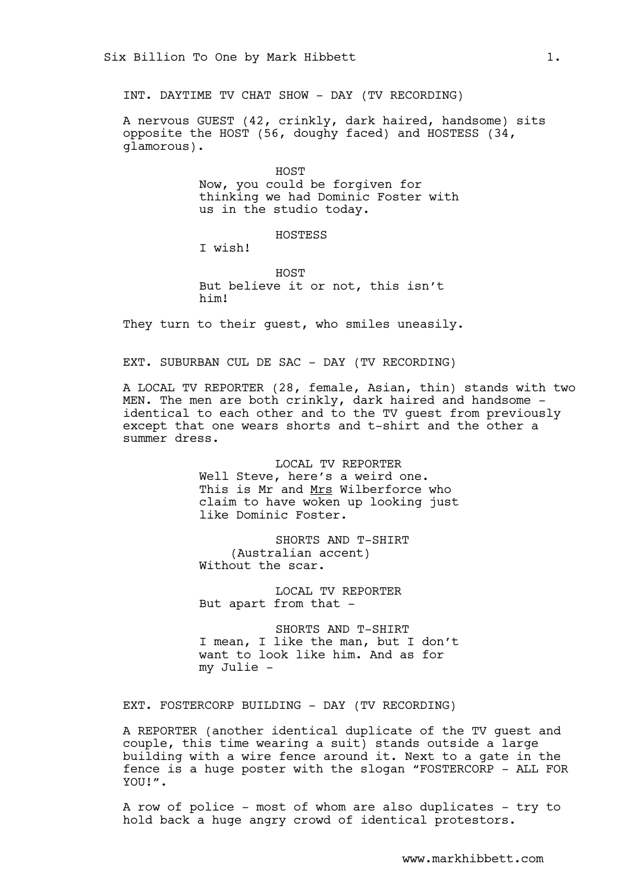INT. DAYTIME TV CHAT SHOW - DAY (TV RECORDING)

A nervous GUEST (42, crinkly, dark haired, handsome) sits opposite the HOST (56, doughy faced) and HOSTESS (34, glamorous).

> HOST Now, you could be forgiven for thinking we had Dominic Foster with us in the studio today.

## HOSTESS

I wish!

HOST But believe it or not, this isn't him!

They turn to their guest, who smiles uneasily.

EXT. SUBURBAN CUL DE SAC - DAY (TV RECORDING)

A LOCAL TV REPORTER (28, female, Asian, thin) stands with two MEN. The men are both crinkly, dark haired and handsome identical to each other and to the TV guest from previously except that one wears shorts and t-shirt and the other a summer dress.

> LOCAL TV REPORTER Well Steve, here's a weird one. This is Mr and Mrs Wilberforce who claim to have woken up looking just like Dominic Foster.

SHORTS AND T-SHIRT (Australian accent) Without the scar.

LOCAL TV REPORTER But apart from that -

SHORTS AND T-SHIRT I mean, I like the man, but I don't want to look like him. And as for my Julie -

EXT. FOSTERCORP BUILDING - DAY (TV RECORDING)

A REPORTER (another identical duplicate of the TV guest and couple, this time wearing a suit) stands outside a large building with a wire fence around it. Next to a gate in the fence is a huge poster with the slogan "FOSTERCORP - ALL FOR YOU!".

A row of police - most of whom are also duplicates - try to hold back a huge angry crowd of identical protestors.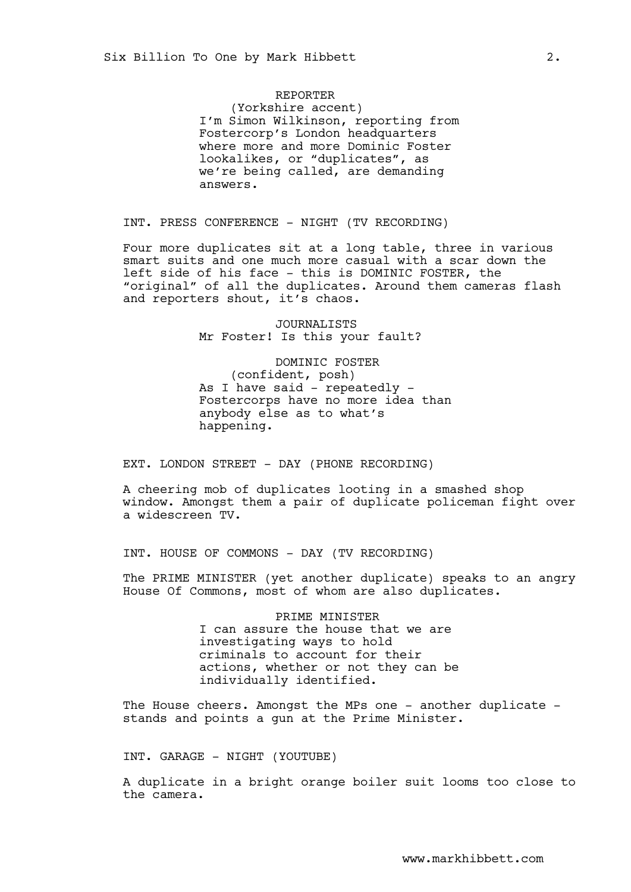### REPORTER

(Yorkshire accent) I'm Simon Wilkinson, reporting from Fostercorp's London headquarters where more and more Dominic Foster lookalikes, or "duplicates", as we're being called, are demanding answers.

INT. PRESS CONFERENCE - NIGHT (TV RECORDING)

Four more duplicates sit at a long table, three in various smart suits and one much more casual with a scar down the left side of his face - this is DOMINIC FOSTER, the "original" of all the duplicates. Around them cameras flash and reporters shout, it's chaos.

> JOURNALISTS Mr Foster! Is this your fault?

DOMINIC FOSTER (confident, posh) As I have said  $-$  repeatedly  $-$ Fostercorps have no more idea than anybody else as to what's happening.

EXT. LONDON STREET - DAY (PHONE RECORDING)

A cheering mob of duplicates looting in a smashed shop window. Amongst them a pair of duplicate policeman fight over a widescreen TV.

INT. HOUSE OF COMMONS - DAY (TV RECORDING)

The PRIME MINISTER (yet another duplicate) speaks to an angry House Of Commons, most of whom are also duplicates.

> PRIME MINISTER I can assure the house that we are investigating ways to hold criminals to account for their actions, whether or not they can be individually identified.

The House cheers. Amongst the MPs one - another duplicate stands and points a gun at the Prime Minister.

INT. GARAGE - NIGHT (YOUTUBE)

A duplicate in a bright orange boiler suit looms too close to the camera.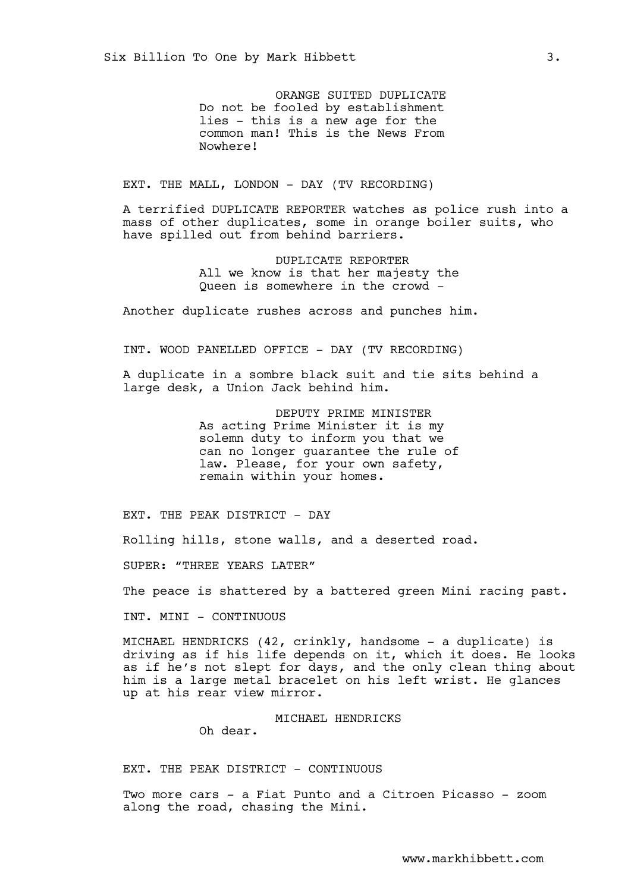ORANGE SUITED DUPLICATE Do not be fooled by establishment lies - this is a new age for the common man! This is the News From Nowhere!

EXT. THE MALL, LONDON - DAY (TV RECORDING)

A terrified DUPLICATE REPORTER watches as police rush into a mass of other duplicates, some in orange boiler suits, who have spilled out from behind barriers.

> DUPLICATE REPORTER All we know is that her majesty the Queen is somewhere in the crowd -

Another duplicate rushes across and punches him.

INT. WOOD PANELLED OFFICE - DAY (TV RECORDING)

A duplicate in a sombre black suit and tie sits behind a large desk, a Union Jack behind him.

> DEPUTY PRIME MINISTER As acting Prime Minister it is my solemn duty to inform you that we can no longer guarantee the rule of law. Please, for your own safety, remain within your homes.

EXT. THE PEAK DISTRICT - DAY

Rolling hills, stone walls, and a deserted road.

SUPER: "THREE YEARS LATER"

The peace is shattered by a battered green Mini racing past.

INT. MINI - CONTINUOUS

MICHAEL HENDRICKS (42, crinkly, handsome - a duplicate) is driving as if his life depends on it, which it does. He looks as if he's not slept for days, and the only clean thing about him is a large metal bracelet on his left wrist. He glances up at his rear view mirror.

## MICHAEL HENDRICKS

Oh dear.

EXT. THE PEAK DISTRICT - CONTINUOUS

Two more cars - a Fiat Punto and a Citroen Picasso - zoom along the road, chasing the Mini.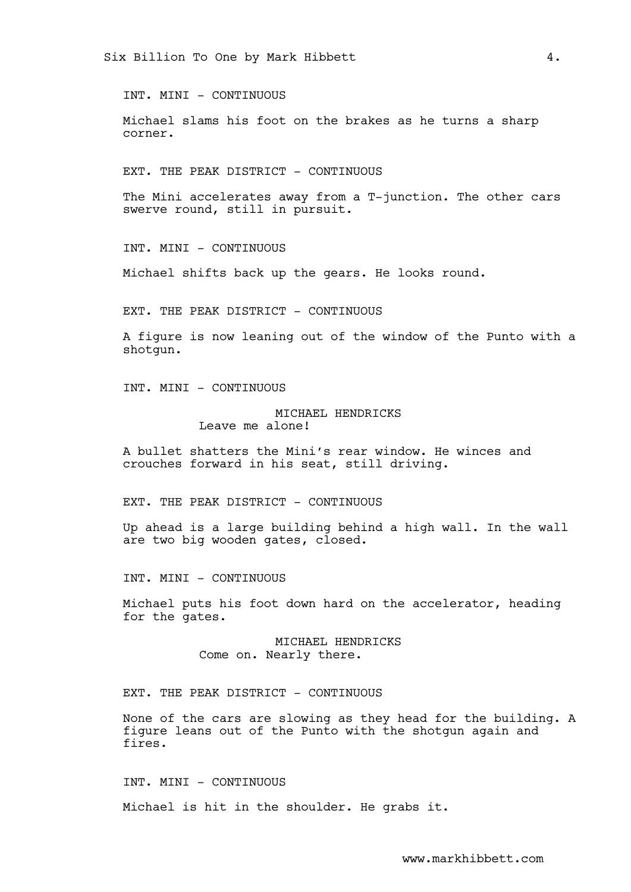INT. MINI - CONTINUOUS

Michael slams his foot on the brakes as he turns a sharp corner.

EXT. THE PEAK DISTRICT - CONTINUOUS

The Mini accelerates away from a T-junction. The other cars swerve round, still in pursuit.

INT. MINI - CONTINUOUS

Michael shifts back up the gears. He looks round.

EXT. THE PEAK DISTRICT - CONTINUOUS

A figure is now leaning out of the window of the Punto with a shotgun.

INT. MINI - CONTINUOUS

# MICHAEL HENDRICKS Leave me alone!

A bullet shatters the Mini's rear window. He winces and crouches forward in his seat, still driving.

EXT. THE PEAK DISTRICT - CONTINUOUS

Up ahead is a large building behind a high wall. In the wall are two big wooden gates, closed.

INT. MINI - CONTINUOUS

Michael puts his foot down hard on the accelerator, heading for the gates.

> MICHAEL HENDRICKS Come on. Nearly there.

EXT. THE PEAK DISTRICT - CONTINUOUS

None of the cars are slowing as they head for the building. A figure leans out of the Punto with the shotgun again and fires.

INT. MINI - CONTINUOUS

Michael is hit in the shoulder. He grabs it.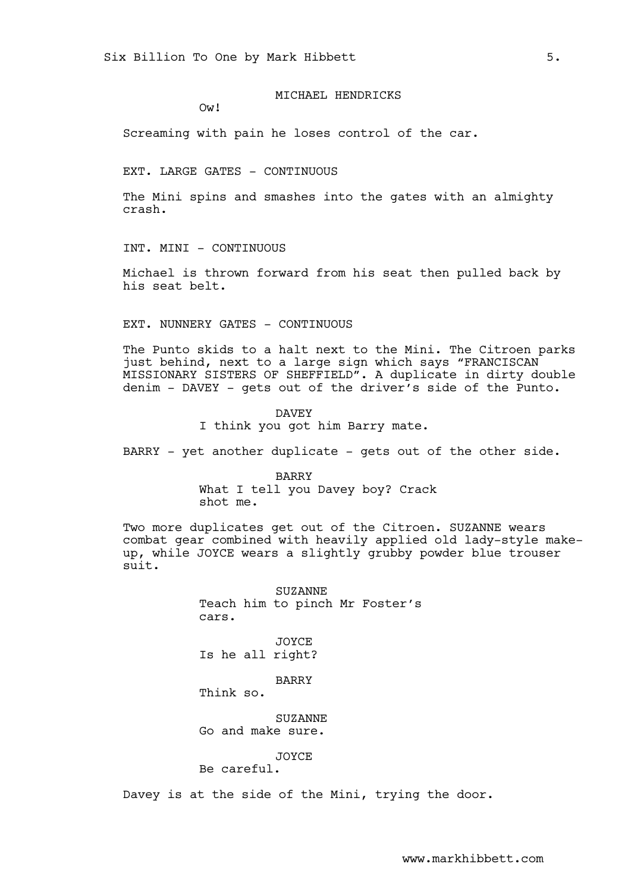MICHAEL HENDRICKS

Ow!

Screaming with pain he loses control of the car.

EXT. LARGE GATES - CONTINUOUS

The Mini spins and smashes into the gates with an almighty crash.

INT. MINI - CONTINUOUS

Michael is thrown forward from his seat then pulled back by his seat belt.

EXT. NUNNERY GATES - CONTINUOUS

The Punto skids to a halt next to the Mini. The Citroen parks just behind, next to a large sign which says "FRANCISCAN MISSIONARY SISTERS OF SHEFFIELD". A duplicate in dirty double denim - DAVEY - gets out of the driver's side of the Punto.

> DAVEY I think you got him Barry mate.

BARRY - yet another duplicate - gets out of the other side.

**BARRY** What I tell you Davey boy? Crack shot me.

Two more duplicates get out of the Citroen. SUZANNE wears combat gear combined with heavily applied old lady-style makeup, while JOYCE wears a slightly grubby powder blue trouser  $\sin it$ .

> SUZANNE Teach him to pinch Mr Foster's cars.

JOYCE Is he all right?

BARRY

Think so.

SUZANNE Go and make sure.

JOYCE

Be careful.

Davey is at the side of the Mini, trying the door.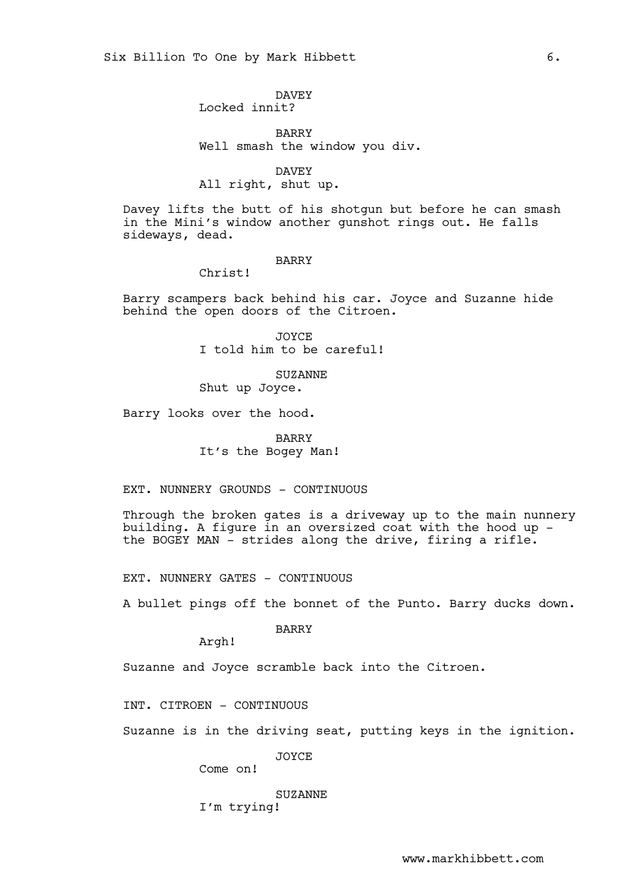# DAVEY

Locked innit?

BARRY Well smash the window you div.

DAVEY All right, shut up.

Davey lifts the butt of his shotgun but before he can smash in the Mini's window another gunshot rings out. He falls sideways, dead.

# BARRY

Christ!

Barry scampers back behind his car. Joyce and Suzanne hide behind the open doors of the Citroen.

> JOYCE I told him to be careful!

SUZANNE Shut up Joyce.

Barry looks over the hood.

BARRY It's the Bogey Man!

EXT. NUNNERY GROUNDS - CONTINUOUS

Through the broken gates is a driveway up to the main nunnery building. A figure in an oversized coat with the hood up the BOGEY MAN - strides along the drive, firing a rifle.

EXT. NUNNERY GATES - CONTINUOUS

A bullet pings off the bonnet of the Punto. Barry ducks down.

BARRY

Argh!

Suzanne and Joyce scramble back into the Citroen.

INT. CITROEN - CONTINUOUS

Suzanne is in the driving seat, putting keys in the ignition.

JOYCE

Come on!

SUZANNE

I'm trying!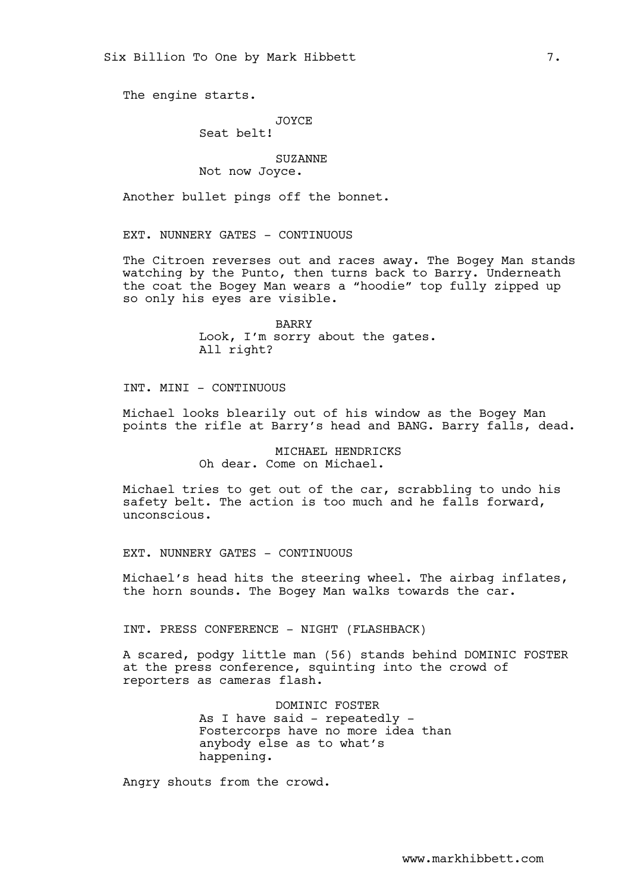The engine starts.

### JOYCE

Seat belt!

## SUZANNE

Not now Joyce.

Another bullet pings off the bonnet.

EXT. NUNNERY GATES - CONTINUOUS

The Citroen reverses out and races away. The Bogey Man stands watching by the Punto, then turns back to Barry. Underneath the coat the Bogey Man wears a "hoodie" top fully zipped up so only his eyes are visible.

> BARRY Look, I'm sorry about the gates. All right?

INT. MINI - CONTINUOUS

Michael looks blearily out of his window as the Bogey Man points the rifle at Barry's head and BANG. Barry falls, dead.

> MICHAEL HENDRICKS Oh dear. Come on Michael.

Michael tries to get out of the car, scrabbling to undo his safety belt. The action is too much and he falls forward, unconscious.

EXT. NUNNERY GATES - CONTINUOUS

Michael's head hits the steering wheel. The airbag inflates, the horn sounds. The Bogey Man walks towards the car.

INT. PRESS CONFERENCE - NIGHT (FLASHBACK)

A scared, podgy little man (56) stands behind DOMINIC FOSTER at the press conference, squinting into the crowd of reporters as cameras flash.

> DOMINIC FOSTER As I have said - repeatedly -Fostercorps have no more idea than anybody else as to what's happening.

Angry shouts from the crowd.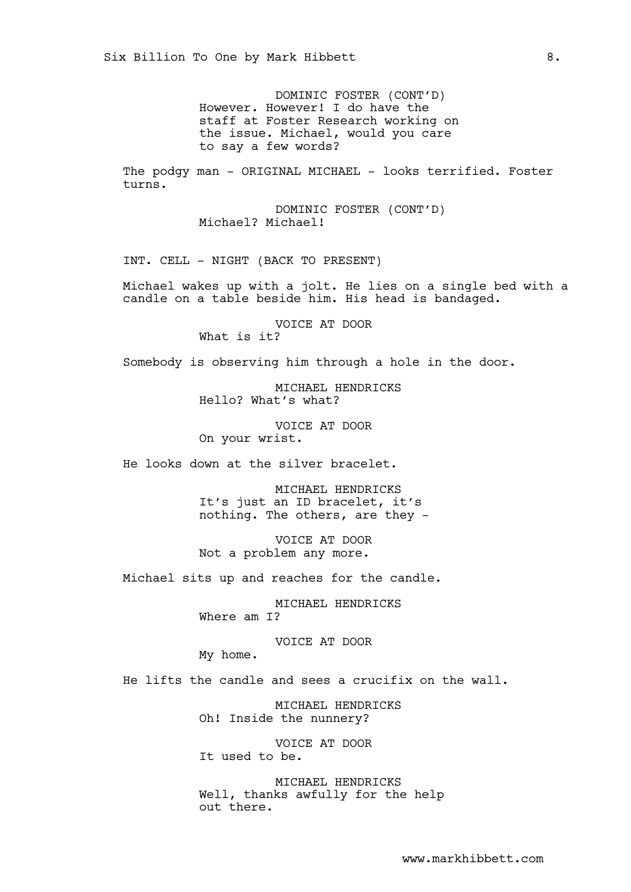DOMINIC FOSTER (CONT'D) However. However! I do have the staff at Foster Research working on the issue. Michael, would you care to say a few words?

The podgy man - ORIGINAL MICHAEL - looks terrified. Foster turns.

> DOMINIC FOSTER (CONT'D) Michael? Michael!

INT. CELL - NIGHT (BACK TO PRESENT)

Michael wakes up with a jolt. He lies on a single bed with a candle on a table beside him. His head is bandaged.

> VOICE AT DOOR What is it?

Somebody is observing him through a hole in the door.

MICHAEL HENDRICKS Hello? What's what?

VOICE AT DOOR On your wrist.

He looks down at the silver bracelet.

MICHAEL HENDRICKS It's just an ID bracelet, it's nothing. The others, are they -

VOICE AT DOOR Not a problem any more.

Michael sits up and reaches for the candle.

MICHAEL HENDRICKS Where am I?

VOICE AT DOOR My home.

He lifts the candle and sees a crucifix on the wall.

MICHAEL HENDRICKS Oh! Inside the nunnery?

VOICE AT DOOR It used to be.

MICHAEL HENDRICKS Well, thanks awfully for the help out there.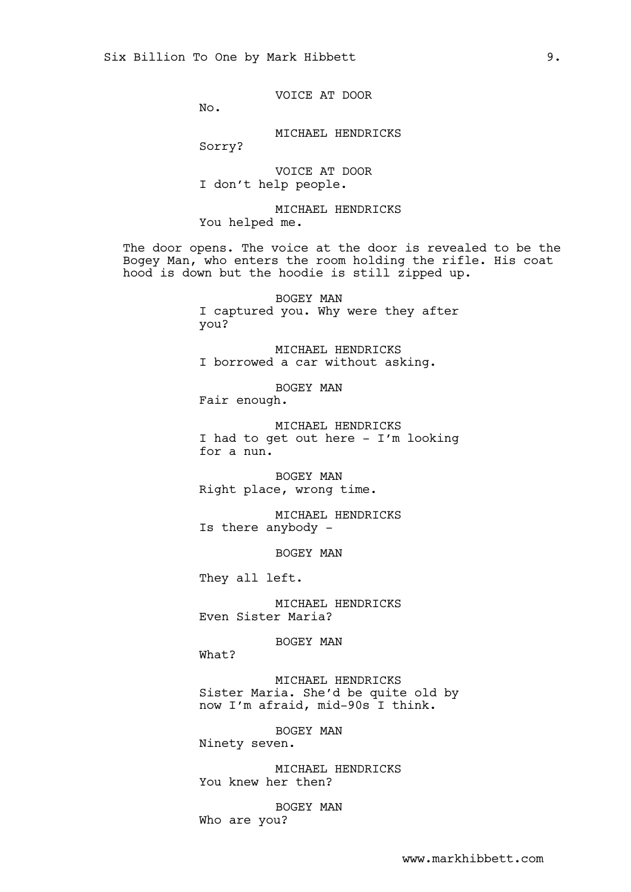VOICE AT DOOR

No.

MICHAEL HENDRICKS

Sorry?

VOICE AT DOOR I don't help people.

MICHAEL HENDRICKS You helped me.

The door opens. The voice at the door is revealed to be the Bogey Man, who enters the room holding the rifle. His coat hood is down but the hoodie is still zipped up.

> BOGEY MAN I captured you. Why were they after you?

MICHAEL HENDRICKS I borrowed a car without asking.

BOGEY MAN

Fair enough.

MICHAEL HENDRICKS I had to get out here - I'm looking for a nun.

BOGEY MAN Right place, wrong time.

MICHAEL HENDRICKS Is there anybody -

BOGEY MAN

They all left.

MICHAEL HENDRICKS Even Sister Maria?

BOGEY MAN

What?

MICHAEL HENDRICKS Sister Maria. She'd be quite old by now I'm afraid, mid-90s I think.

BOGEY MAN

Ninety seven.

MICHAEL HENDRICKS You knew her then?

BOGEY MAN Who are you?